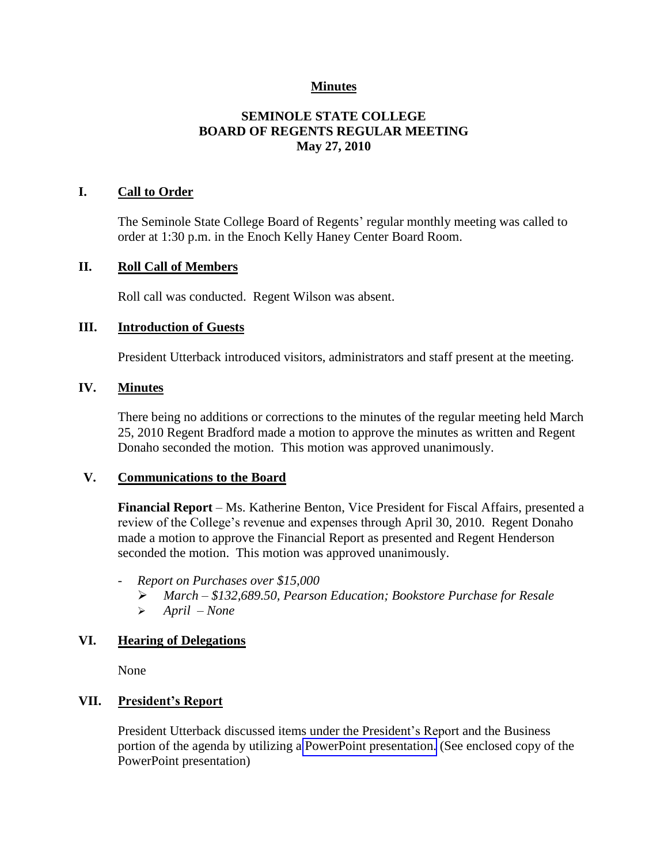# **Minutes**

# **SEMINOLE STATE COLLEGE BOARD OF REGENTS REGULAR MEETING May 27, 2010**

### **I. Call to Order**

The Seminole State College Board of Regents' regular monthly meeting was called to order at 1:30 p.m. in the Enoch Kelly Haney Center Board Room.

#### **II. Roll Call of Members**

Roll call was conducted. Regent Wilson was absent.

#### **III. Introduction of Guests**

President Utterback introduced visitors, administrators and staff present at the meeting.

#### **IV. Minutes**

There being no additions or corrections to the minutes of the regular meeting held March 25, 2010 Regent Bradford made a motion to approve the minutes as written and Regent Donaho seconded the motion. This motion was approved unanimously.

#### **V. Communications to the Board**

**Financial Report** – Ms. Katherine Benton, Vice President for Fiscal Affairs, presented a review of the College's revenue and expenses through April 30, 2010. Regent Donaho made a motion to approve the Financial Report as presented and Regent Henderson seconded the motion. This motion was approved unanimously.

- *Report on Purchases over \$15,000*
	- *March – \$132,689.50, Pearson Education; Bookstore Purchase for Resale*
	- *April – None*

### **VI. Hearing of Delegations**

None

### **VII. President's Report**

President Utterback discussed items under the President's Report and the Business portion of the agenda by utilizing a PowerPoint presentation. (See enclosed copy of the PowerPoint presentation)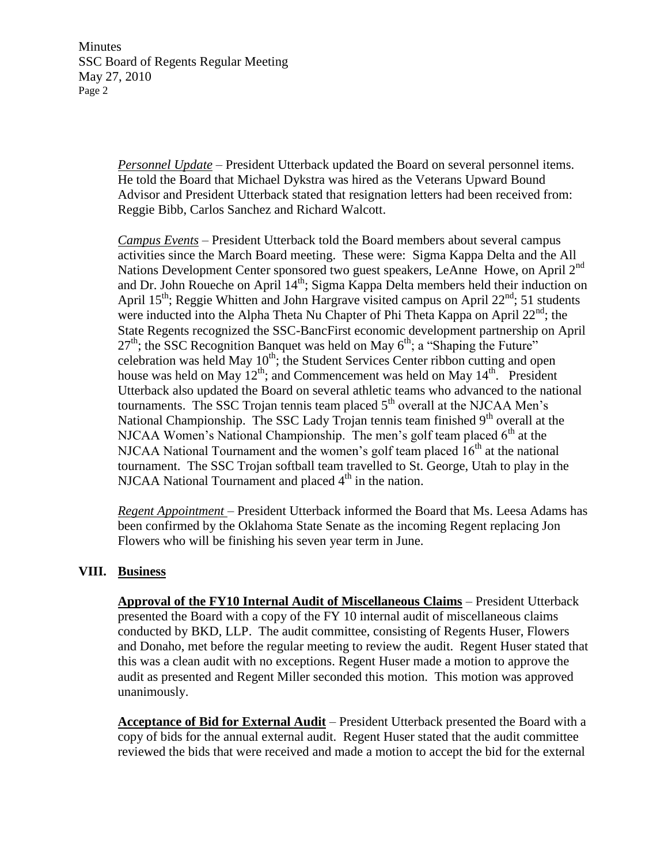Minutes SSC Board of Regents Regular Meeting May 27, 2010 Page 2

> *Personnel Update* – President Utterback updated the Board on several personnel items. He told the Board that Michael Dykstra was hired as the Veterans Upward Bound Advisor and President Utterback stated that resignation letters had been received from: Reggie Bibb, Carlos Sanchez and Richard Walcott.

*Campus Events* – President Utterback told the Board members about several campus activities since the March Board meeting. These were: Sigma Kappa Delta and the All Nations Development Center sponsored two guest speakers, LeAnne Howe, on April  $2<sup>nd</sup>$ and Dr. John Roueche on April  $14<sup>th</sup>$ ; Sigma Kappa Delta members held their induction on April 15<sup>th</sup>; Reggie Whitten and John Hargrave visited campus on April  $22<sup>nd</sup>$ ; 51 students were inducted into the Alpha Theta Nu Chapter of Phi Theta Kappa on April 22<sup>nd</sup>; the State Regents recognized the SSC-BancFirst economic development partnership on April  $27<sup>th</sup>$ ; the SSC Recognition Banquet was held on May  $6<sup>th</sup>$ ; a "Shaping the Future" celebration was held May  $10<sup>th</sup>$ ; the Student Services Center ribbon cutting and open house was held on May  $12^{th}$ ; and Commencement was held on May  $14^{th}$ . President Utterback also updated the Board on several athletic teams who advanced to the national tournaments. The SSC Trojan tennis team placed  $5<sup>th</sup>$  overall at the NJCAA Men's National Championship. The SSC Lady Trojan tennis team finished  $9<sup>th</sup>$  overall at the NJCAA Women's National Championship. The men's golf team placed  $6<sup>th</sup>$  at the NJCAA National Tournament and the women's golf team placed  $16<sup>th</sup>$  at the national tournament. The SSC Trojan softball team travelled to St. George, Utah to play in the NJCAA National Tournament and placed  $4<sup>th</sup>$  in the nation.

*Regent Appointment* – President Utterback informed the Board that Ms. Leesa Adams has been confirmed by the Oklahoma State Senate as the incoming Regent replacing Jon Flowers who will be finishing his seven year term in June.

### **VIII. Business**

**Approval of the FY10 Internal Audit of Miscellaneous Claims** – President Utterback presented the Board with a copy of the FY 10 internal audit of miscellaneous claims conducted by BKD, LLP. The audit committee, consisting of Regents Huser, Flowers and Donaho, met before the regular meeting to review the audit. Regent Huser stated that this was a clean audit with no exceptions. Regent Huser made a motion to approve the audit as presented and Regent Miller seconded this motion. This motion was approved unanimously.

**Acceptance of Bid for External Audit** – President Utterback presented the Board with a copy of bids for the annual external audit. Regent Huser stated that the audit committee reviewed the bids that were received and made a motion to accept the bid for the external